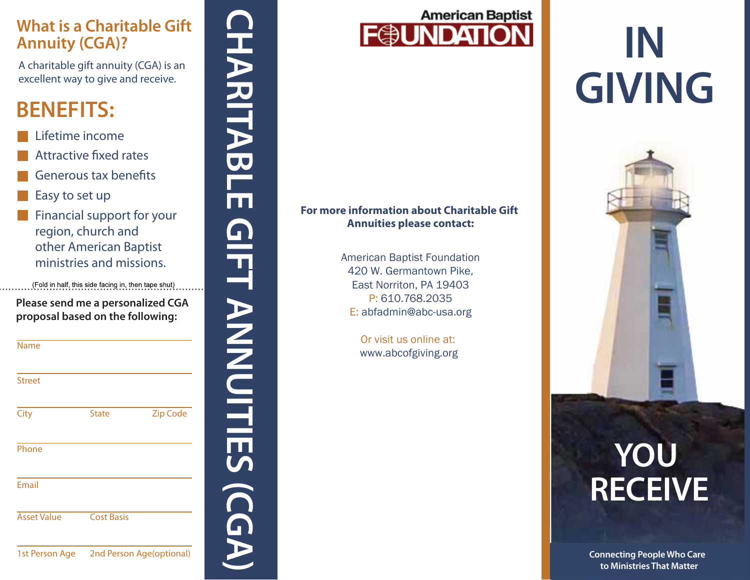#### **What is a Charitable Gift Annuity (CGA)?**

### **BENEFITS:**

- Lifetime income
- Attractive fixed rates
- Generous tax benefits
- Easy to set up
- **Financial support for your** region, church and other American Baptist ministries and missions.

| <b>What is a Charitable Gift</b><br><b>Annuity (CGA)?</b><br>A charitable gift annuity (CGA) is an<br>excellent way to give and receive. |                                                                                                                                                               |                 |  |
|------------------------------------------------------------------------------------------------------------------------------------------|---------------------------------------------------------------------------------------------------------------------------------------------------------------|-----------------|--|
| <b>BENEFITS:</b>                                                                                                                         |                                                                                                                                                               |                 |  |
| Lifetime income<br>Easy to set up                                                                                                        | <b>Attractive fixed rates</b><br><b>Generous tax benefits</b>                                                                                                 |                 |  |
|                                                                                                                                          | Financial support for your<br>region, church and<br>other American Baptist<br>ministries and missions.<br>(Fold in half, this side facing in, then tape shut) |                 |  |
| Please send me a personalized CGA<br>proposal based on the following:                                                                    |                                                                                                                                                               |                 |  |
|                                                                                                                                          |                                                                                                                                                               |                 |  |
| Name                                                                                                                                     |                                                                                                                                                               |                 |  |
| <b>Street</b>                                                                                                                            |                                                                                                                                                               |                 |  |
| City                                                                                                                                     | <b>State</b>                                                                                                                                                  | <b>Zip Code</b> |  |
| Phone                                                                                                                                    |                                                                                                                                                               |                 |  |
| Email                                                                                                                                    |                                                                                                                                                               |                 |  |
| <b>Asset Value</b>                                                                                                                       | <b>Cost Basis</b>                                                                                                                                             |                 |  |



#### **For more information about Charitable Gift Annuities please contact:**

American Baptist Foundation 420 W. Germantown Pike, East Norriton, PA 19403 P: 610.768.2035 E: abfadmin@abc-usa.org

> Or visit us online at: www.abcofgiving.org

# **IN GIVING**



# **YOU RECEIVE**

**Connecting People Who Care to Ministries That Matter**